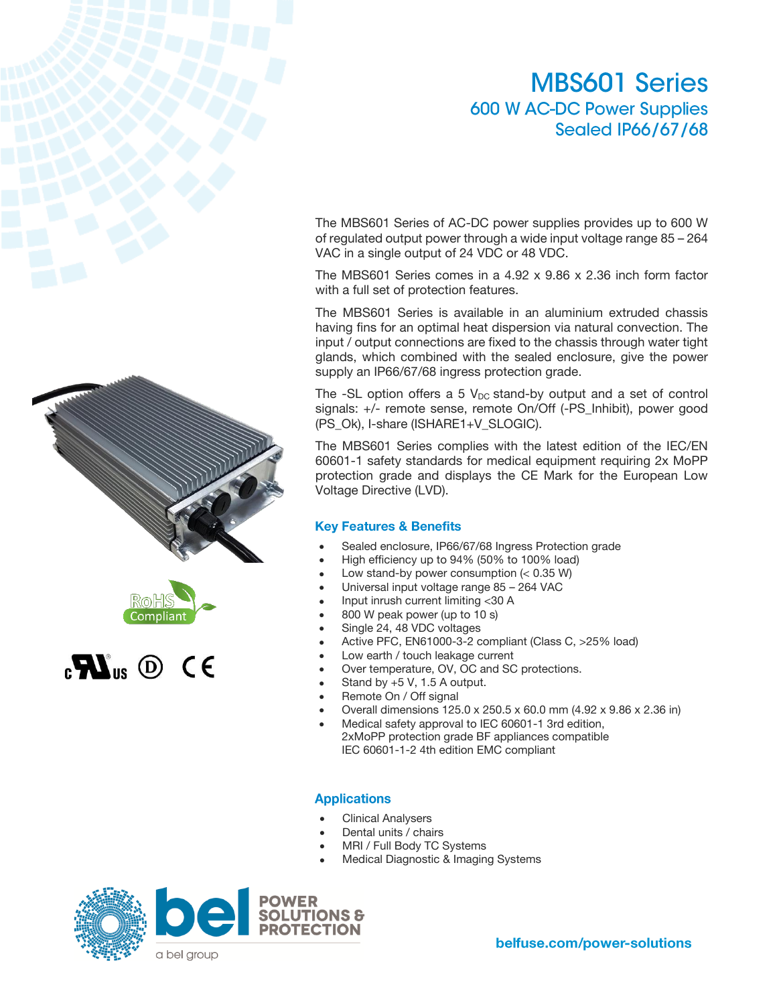# **MBS601 Series** 600 W AC-DC Power Supplies **Sealed IP66/67/68**

The MBS601 Series of AC-DC power supplies provides up to 600 W of regulated output power through a wide input voltage range 85 – 264 VAC in a single output of 24 VDC or 48 VDC.

The MBS601 Series comes in a 4.92 x 9.86 x 2.36 inch form factor with a full set of protection features.

The MBS601 Series is available in an aluminium extruded chassis having fins for an optimal heat dispersion via natural convection. The input / output connections are fixed to the chassis through water tight glands, which combined with the sealed enclosure, give the power supply an IP66/67/68 ingress protection grade.

The  $-SL$  option offers a 5  $V_{DC}$  stand-by output and a set of control signals: +/- remote sense, remote On/Off (-PS\_Inhibit), power good (PS\_Ok), I-share (ISHARE1+V\_SLOGIC).

The MBS601 Series complies with the latest edition of the IEC/EN 60601-1 safety standards for medical equipment requiring 2x MoPP protection grade and displays the CE Mark for the European Low Voltage Directive (LVD).

### **Key Features & Benefits**

- Sealed enclosure, IP66/67/68 Ingress Protection grade
- High efficiency up to 94% (50% to 100% load)
- Low stand-by power consumption  $( $0.35$  W)$
- Universal input voltage range 85 264 VAC
- Input inrush current limiting <30 A
- 800 W peak power (up to 10 s)
- Single 24, 48 VDC voltages
- Active PFC, EN61000-3-2 compliant (Class C, >25% load)
- Low earth / touch leakage current
- Over temperature, OV, OC and SC protections.
- Stand by  $+5$  V, 1.5 A output.
- Remote On / Off signal
- Overall dimensions 125.0 x 250.5 x 60.0 mm (4.92 x 9.86 x 2.36 in)
- Medical safety approval to IEC 60601-1 3rd edition, 2xMoPP protection grade BF appliances compatible IEC 60601-1-2 4th edition EMC compliant

### **Applications**

- Clinical Analysers
- Dental units / chairs
- MRI / Full Body TC Systems
- Medical Diagnostic & Imaging Systems









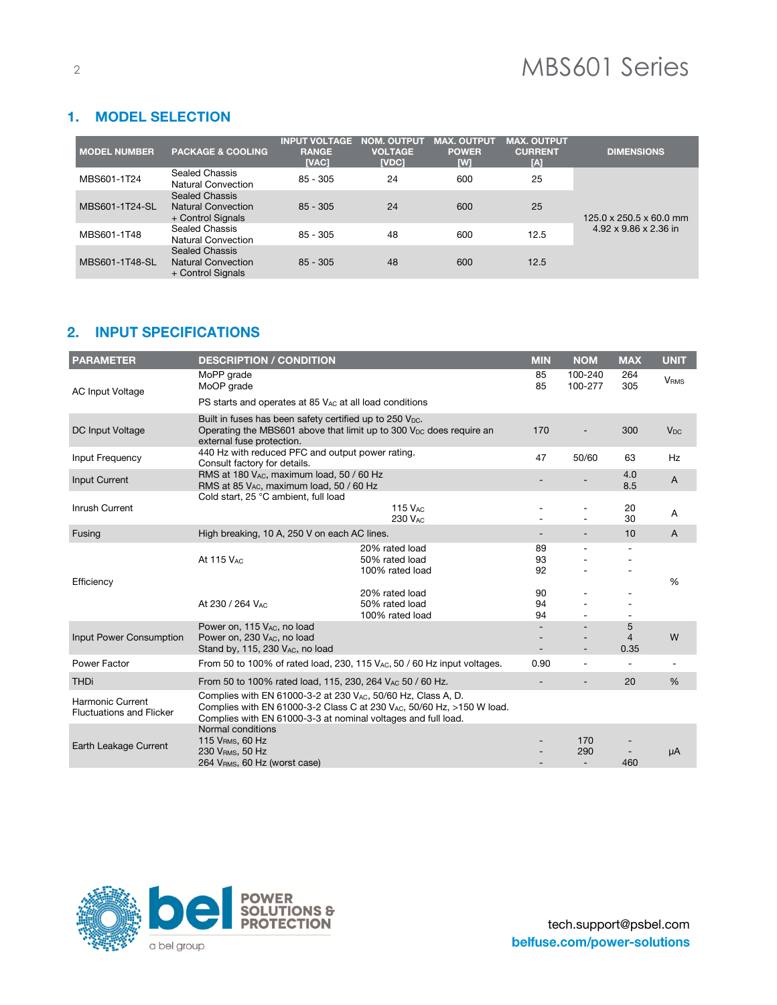# <sup>2</sup> MBS601 Series

# 1. MODEL SELECTION

| <b>MODEL NUMBER</b> | <b>PACKAGE &amp; COOLING</b>                                     | <b>INPUT VOLTAGE</b><br><b>RANGE</b><br>[VAC] | <b>NOM. OUTPUT</b><br><b>VOLTAGE</b><br>[VDC] | <b>MAX. OUTPUT</b><br><b>POWER</b><br>[W] | <b>MAX. OUTPUT</b><br><b>CURRENT</b><br>[A] | <b>DIMENSIONS</b>                   |
|---------------------|------------------------------------------------------------------|-----------------------------------------------|-----------------------------------------------|-------------------------------------------|---------------------------------------------|-------------------------------------|
| MBS601-1T24         | Sealed Chassis<br><b>Natural Convection</b>                      | $85 - 305$                                    | 24                                            | 600                                       | 25                                          |                                     |
| MBS601-1T24-SL      | Sealed Chassis<br><b>Natural Convection</b><br>+ Control Signals | $85 - 305$                                    | 24                                            | 600                                       | 25                                          | $125.0 \times 250.5 \times 60.0$ mm |
| MBS601-1T48         | Sealed Chassis<br>Natural Convection                             | $85 - 305$                                    | 48                                            | 600                                       | 12.5                                        | $4.92 \times 9.86 \times 2.36$ in   |
| MBS601-1T48-SL      | Sealed Chassis<br><b>Natural Convection</b><br>+ Control Signals | $85 - 305$                                    | 48                                            | 600                                       | 12.5                                        |                                     |

# 2. INPUT SPECIFICATIONS

| <b>PARAMETER</b>                                    | <b>DESCRIPTION / CONDITION</b>                                                                                                 |                                                                               | <b>MIN</b>               | <b>NOM</b>                             | <b>MAX</b>                  | <b>UNIT</b>            |
|-----------------------------------------------------|--------------------------------------------------------------------------------------------------------------------------------|-------------------------------------------------------------------------------|--------------------------|----------------------------------------|-----------------------------|------------------------|
| <b>AC Input Voltage</b>                             | MoPP grade<br>MoOP grade                                                                                                       |                                                                               | 85<br>85                 | 100-240<br>100-277                     | 264<br>305                  | <b>V<sub>RMS</sub></b> |
|                                                     | PS starts and operates at 85 V <sub>AC</sub> at all load conditions                                                            |                                                                               |                          |                                        |                             |                        |
| DC Input Voltage                                    | Built in fuses has been safety certified up to 250 V <sub>DC</sub> .<br>external fuse protection.                              | Operating the MBS601 above that limit up to 300 $V_{DC}$ does require an      | 170                      |                                        | 300                         | $V_{DC}$               |
| Input Frequency                                     | 440 Hz with reduced PFC and output power rating.<br>Consult factory for details.                                               |                                                                               | 47                       | 50/60                                  | 63                          | Hz                     |
| Input Current                                       | RMS at 180 VAC, maximum load, 50 / 60 Hz<br>RMS at 85 VAC, maximum load, 50 / 60 Hz                                            |                                                                               |                          |                                        | 4.0<br>8.5                  | A                      |
| Inrush Current                                      | Cold start, 25 °C ambient, full load                                                                                           | <b>115 VAC</b><br>230 VAC                                                     |                          | $\overline{a}$                         | 20<br>30                    | Α                      |
| Fusing                                              | High breaking, 10 A, 250 V on each AC lines.                                                                                   |                                                                               | $\overline{\phantom{a}}$ | $\overline{\phantom{a}}$               | 10                          | $\overline{A}$         |
| Efficiency                                          | At 115 VAC                                                                                                                     | 20% rated load<br>50% rated load<br>100% rated load                           | 89<br>93<br>92           |                                        |                             | %                      |
|                                                     | At 230 / 264 VAC                                                                                                               | 20% rated load<br>50% rated load<br>100% rated load                           | 90<br>94<br>94           |                                        |                             |                        |
| Input Power Consumption                             | Power on, 115 VAC, no load<br>Power on, 230 VAC, no load<br>Stand by, 115, 230 VAC, no load                                    |                                                                               |                          |                                        | 5<br>$\overline{4}$<br>0.35 | W                      |
| Power Factor                                        |                                                                                                                                | From 50 to 100% of rated load, 230, 115 $V_{AC}$ , 50 / 60 Hz input voltages. | 0.90                     | $\overline{a}$                         | $\overline{a}$              |                        |
| <b>THDi</b>                                         | From 50 to 100% rated load, 115, 230, 264 VAC 50 / 60 Hz.                                                                      |                                                                               | $\overline{\phantom{a}}$ | $\overline{\phantom{0}}$               | 20                          | %                      |
| Harmonic Current<br><b>Fluctuations and Flicker</b> | Complies with EN 61000-3-2 at 230 VAC, 50/60 Hz, Class A, D.<br>Complies with EN 61000-3-3 at nominal voltages and full load.  | Complies with EN 61000-3-2 Class C at 230 VAC, 50/60 Hz, >150 W load.         |                          |                                        |                             |                        |
| Earth Leakage Current                               | Normal conditions<br>115 V <sub>RMS</sub> , 60 Hz<br>230 V <sub>RMS</sub> , 50 Hz<br>264 V <sub>RMS</sub> , 60 Hz (worst case) |                                                                               |                          | 170<br>290<br>$\overline{\phantom{a}}$ | 460                         | μA                     |

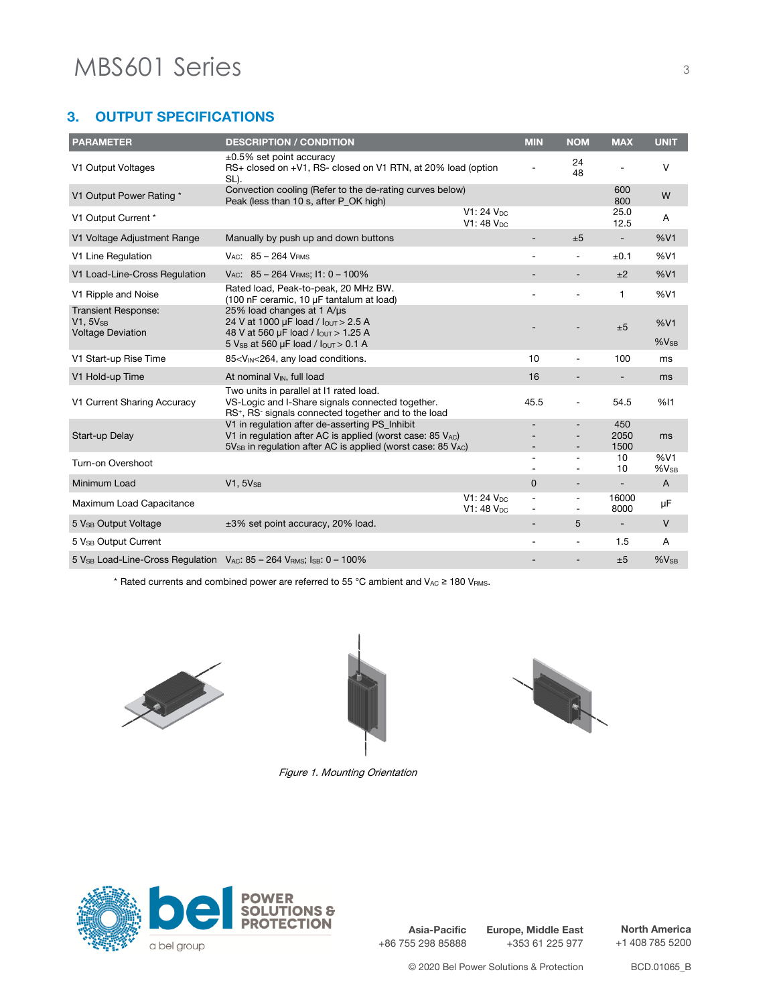#### 3. **OUTPUT SPECIFICATIONS**

| <b>PARAMETER</b>                                                                                 | <b>DESCRIPTION / CONDITION</b>                                                                                                                                              |                                   | <b>MIN</b>               | <b>NOM</b>                                           | <b>MAX</b>               | <b>UNIT</b>      |
|--------------------------------------------------------------------------------------------------|-----------------------------------------------------------------------------------------------------------------------------------------------------------------------------|-----------------------------------|--------------------------|------------------------------------------------------|--------------------------|------------------|
| V1 Output Voltages                                                                               | $\pm 0.5\%$ set point accuracy<br>RS+ closed on +V1, RS- closed on V1 RTN, at 20% load (option<br>SL).                                                                      |                                   |                          | 24<br>48                                             |                          | V                |
| V1 Output Power Rating *                                                                         | Convection cooling (Refer to the de-rating curves below)<br>Peak (less than 10 s, after P OK high)                                                                          |                                   |                          |                                                      | 600<br>800               | W                |
| V1 Output Current *                                                                              |                                                                                                                                                                             | $V1:24$ $Vpc$<br>$V1:48V_{DC}$    |                          |                                                      | 25.0<br>12.5             | A                |
| V1 Voltage Adjustment Range                                                                      | Manually by push up and down buttons                                                                                                                                        |                                   | $\overline{\phantom{a}}$ | ±5                                                   | $\overline{\phantom{a}}$ | %V1              |
| V1 Line Regulation                                                                               | $V_{AC}$ : 85 - 264 $V_{BMS}$                                                                                                                                               |                                   |                          | $\overline{\phantom{a}}$                             | ±0.1                     | %V1              |
| V1 Load-Line-Cross Regulation                                                                    | VAC: $85 - 264$ VRMs; $11:0 - 100\%$                                                                                                                                        |                                   |                          |                                                      | ±2                       | %V1              |
| V1 Ripple and Noise                                                                              | Rated load, Peak-to-peak, 20 MHz BW.<br>(100 nF ceramic, 10 µF tantalum at load)                                                                                            |                                   |                          |                                                      | $\mathbf{1}$             | %V1              |
| <b>Transient Response:</b><br>$V1.5V_{SB}$<br><b>Voltage Deviation</b>                           | 25% load changes at 1 A/µs<br>24 V at 1000 µF load / lout > 2.5 A<br>48 V at 560 µF load / lour > 1.25 A<br>5 V <sub>SB</sub> at 560 µF load / lout > 0.1 A                 |                                   |                          |                                                      | ±5                       | %V1<br>$%V_{SB}$ |
| V1 Start-up Rise Time                                                                            | 85 <v<sub>IN&lt;264, any load conditions.</v<sub>                                                                                                                           |                                   | 10                       | $\overline{a}$                                       | 100                      | ms               |
| V1 Hold-up Time                                                                                  | At nominal V <sub>IN</sub> , full load                                                                                                                                      |                                   | 16                       | $\overline{a}$                                       | -                        | ms               |
| V1 Current Sharing Accuracy                                                                      | Two units in parallel at I1 rated load.<br>VS-Logic and I-Share signals connected together.<br>RS <sup>+</sup> , RS <sup>-</sup> signals connected together and to the load |                                   | 45.5                     | $\overline{\phantom{a}}$                             | 54.5                     | %11              |
| Start-up Delay                                                                                   | V1 in regulation after de-asserting PS_Inhibit<br>V1 in regulation after AC is applied (worst case: $85 V_{AC}$ )                                                           |                                   |                          |                                                      | 450<br>2050              | ms               |
| Turn-on Overshoot                                                                                | 5V <sub>SB</sub> in regulation after AC is applied (worst case: 85 VAC)                                                                                                     |                                   |                          | $\overline{\phantom{a}}$                             | 1500<br>10<br>10         | %V1<br>$%V_{SB}$ |
| Minimum Load                                                                                     | $V1.5V_{SB}$                                                                                                                                                                |                                   | $\mathbf{0}$             | $\overline{\phantom{a}}$                             | $\overline{\phantom{0}}$ | $\overline{A}$   |
| Maximum Load Capacitance                                                                         |                                                                                                                                                                             | $V1:24$ $V_{DC}$<br>$V1:48V_{DC}$ |                          | $\overline{\phantom{a}}$<br>$\overline{\phantom{a}}$ | 16000<br>8000            | μF               |
| 5 V <sub>SB</sub> Output Voltage                                                                 | ±3% set point accuracy, 20% load.                                                                                                                                           |                                   |                          | 5                                                    | $\overline{\phantom{0}}$ | V                |
| 5 V <sub>SB</sub> Output Current                                                                 |                                                                                                                                                                             |                                   |                          | $\overline{a}$                                       | 1.5                      | A                |
| 5 $V_{SB}$ Load-Line-Cross Regulation $V_{AC}$ : 85 – 264 $V_{RMS}$ ; I <sub>SB</sub> : 0 – 100% |                                                                                                                                                                             |                                   |                          |                                                      | ±5                       | $%V_{SB}$        |

\* Rated currents and combined power are referred to 55 °C ambient and VAC ≥ 180 VRMS.





Figure 1. Mounting Orientation





**Asia-Pacific** +86 755 298 85888 **Europe, Middle East** +353 61 225 977

**North America** +1 408 785 5200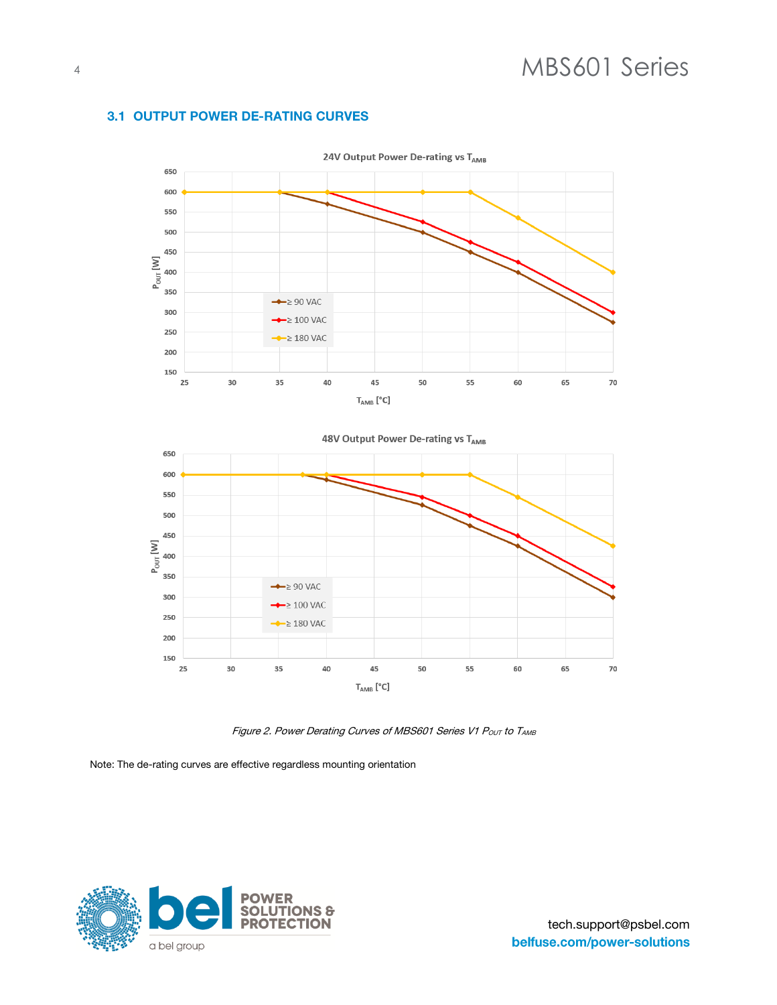## **3.1 OUTPUT POWER DE-RATING CURVES**



Figure 2. Power Derating Curves of MBS601 Series V1 P<sub>OUT</sub> to TAMB

Note: The de-rating curves are effective regardless mounting orientation

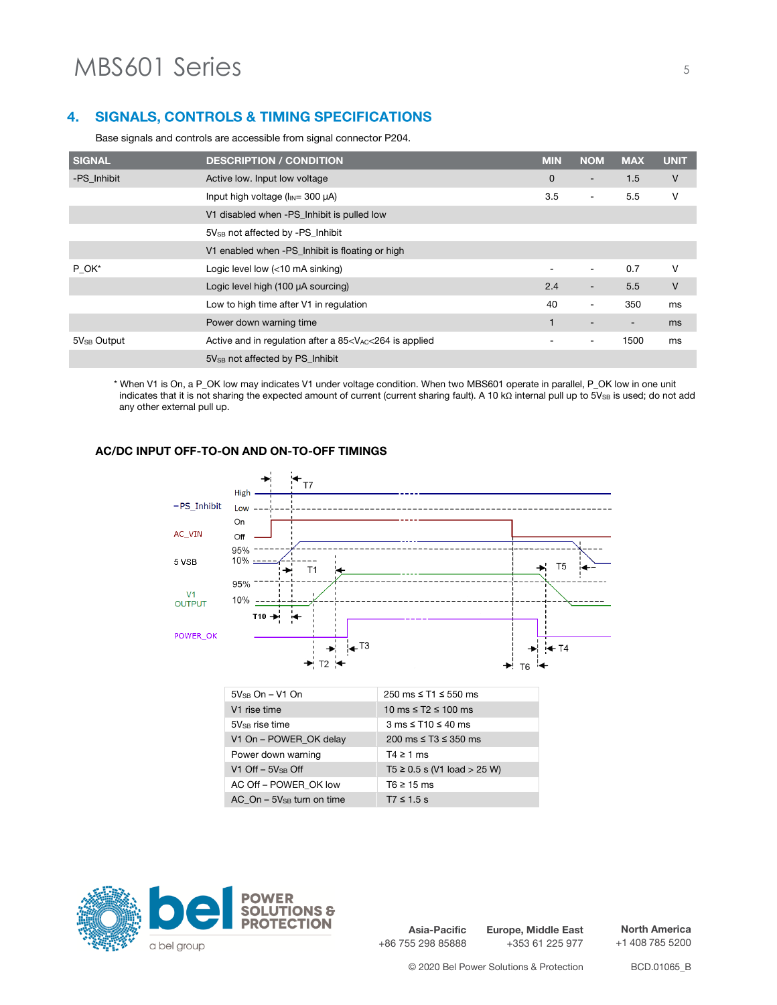#### **SIGNALS, CONTROLS & TIMING SPECIFICATIONS** 4.

Base signals and controls are accessible from signal connector P204.

| SIGNAL           | <b>DESCRIPTION / CONDITION</b>                   | <b>MIN</b>               | <b>NOM</b>               | <b>MAX</b>               | <b>UNIT</b> |
|------------------|--------------------------------------------------|--------------------------|--------------------------|--------------------------|-------------|
| -PS Inhibit      | Active low. Input low voltage                    | $\overline{0}$           | $\overline{\phantom{a}}$ | 1.5                      | V           |
|                  | Input high voltage $(l_{IN} = 300 \mu A)$        | 3.5                      | $\overline{\phantom{0}}$ | 5.5                      | ٧           |
|                  | V1 disabled when -PS_Inhibit is pulled low       |                          |                          |                          |             |
|                  | 5V <sub>SB</sub> not affected by -PS Inhibit     |                          |                          |                          |             |
|                  | V1 enabled when -PS_Inhibit is floating or high  |                          |                          |                          |             |
| $P_{.}OK*$       | Logic level low (<10 mA sinking)                 | $\overline{\phantom{a}}$ | $\overline{\phantom{a}}$ | 0.7                      | v           |
|                  | Logic level high (100 µA sourcing)               | 2.4                      | $\overline{\phantom{a}}$ | 5.5                      | V           |
|                  | Low to high time after V1 in regulation          | 40                       | $\overline{\phantom{a}}$ | 350                      | ms          |
|                  | Power down warning time                          |                          | $\overline{\phantom{0}}$ | $\overline{\phantom{a}}$ | ms          |
| $5V_{SB}$ Output | Active and in regulation after a $85 is applied$ | $\overline{\phantom{a}}$ | $\overline{\phantom{a}}$ | 1500                     | ms          |
|                  | 5V <sub>SB</sub> not affected by PS Inhibit      |                          |                          |                          |             |

\* When V1 is On, a P\_OK low may indicates V1 under voltage condition. When two MBS601 operate in parallel, P\_OK low in one unit indicates that it is not sharing the expected amount of current (current sharing fault). A 10 kΩ internal pull up to 5VSB is used; do not add any other external pull up.

### **AC/DC INPUT OFF-TO-ON AND ON-TO-OFF TIMINGS**



AC Off – POWER OK low  $T6 \ge 15$  ms  $AC\_On - 5V_{SB}$  turn on time T7  $\leq 1.5$  s



**Asia-Pacific** +86 755 298 85888 **Europe, Middle East** +353 61 225 977

**North America** +1 408 785 5200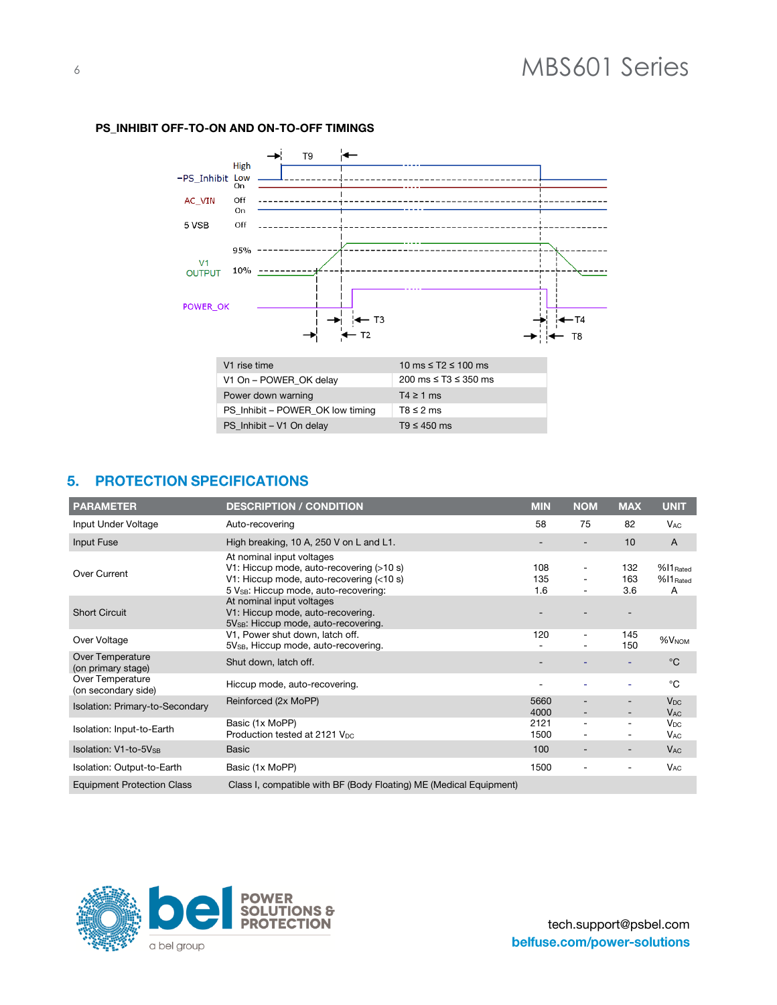

### **PS\_INHIBIT OFF-TO-ON AND ON-TO-OFF TIMINGS**

### 5. PROTECTION SPECIFICATIONS

| <b>PARAMETER</b>                        | <b>DESCRIPTION / CONDITION</b>                                                                                                                            | <b>MIN</b>        | <b>NOM</b>                                                                       | <b>MAX</b>               | <b>UNIT</b>                                    |
|-----------------------------------------|-----------------------------------------------------------------------------------------------------------------------------------------------------------|-------------------|----------------------------------------------------------------------------------|--------------------------|------------------------------------------------|
| Input Under Voltage                     | Auto-recovering                                                                                                                                           | 58                | 75                                                                               | 82                       | <b>V<sub>AC</sub></b>                          |
| Input Fuse                              | High breaking, 10 A, 250 V on L and L1.                                                                                                                   |                   | $\overline{\phantom{a}}$                                                         | 10                       | $\overline{A}$                                 |
| Over Current                            | At nominal input voltages<br>V1: Hiccup mode, auto-recovering (>10 s)<br>V1: Hiccup mode, auto-recovering (<10 s)<br>5 VsB: Hiccup mode, auto-recovering: | 108<br>135<br>1.6 | $\overline{\phantom{a}}$<br>$\overline{\phantom{a}}$<br>$\overline{\phantom{0}}$ | 132<br>163<br>3.6        | $%$ 11 Rated<br>$%$ 11 $_{\rm Rated}$<br>A     |
| <b>Short Circuit</b>                    | At nominal input voltages<br>V1: Hiccup mode, auto-recovering.<br>5V <sub>SB</sub> : Hiccup mode, auto-recovering.                                        |                   |                                                                                  |                          |                                                |
| Over Voltage                            | V1, Power shut down, latch off.<br>5V <sub>SB</sub> , Hiccup mode, auto-recovering.                                                                       | 120               | $\overline{\phantom{a}}$                                                         | 145<br>150               | %V <sub>NOM</sub>                              |
| Over Temperature<br>(on primary stage)  | Shut down, latch off.                                                                                                                                     |                   |                                                                                  |                          | $^{\circ}C$                                    |
| Over Temperature<br>(on secondary side) | Hiccup mode, auto-recovering.                                                                                                                             |                   |                                                                                  |                          | $^{\circ}C$                                    |
| Isolation: Primary-to-Secondary         | Reinforced (2x MoPP)                                                                                                                                      | 5660<br>4000      | $\overline{a}$                                                                   |                          | <b>V<sub>DC</sub></b><br><b>V<sub>AC</sub></b> |
| Isolation: Input-to-Earth               | Basic (1x MoPP)<br>Production tested at 2121 V <sub>DC</sub>                                                                                              | 2121<br>1500      | $\overline{\phantom{0}}$                                                         | $\overline{\phantom{a}}$ | $V_{DC}$<br><b>V<sub>AC</sub></b>              |
| <b>Isolation: V1-to-5V</b> SB           | <b>Basic</b>                                                                                                                                              | 100               | $\overline{\phantom{a}}$                                                         | $\overline{\phantom{a}}$ | <b>V<sub>AC</sub></b>                          |
| Isolation: Output-to-Earth              | Basic (1x MoPP)                                                                                                                                           | 1500              | $\overline{\phantom{a}}$                                                         | $\overline{\phantom{a}}$ | <b>V<sub>AC</sub></b>                          |
| <b>Equipment Protection Class</b>       | Class I, compatible with BF (Body Floating) ME (Medical Equipment)                                                                                        |                   |                                                                                  |                          |                                                |

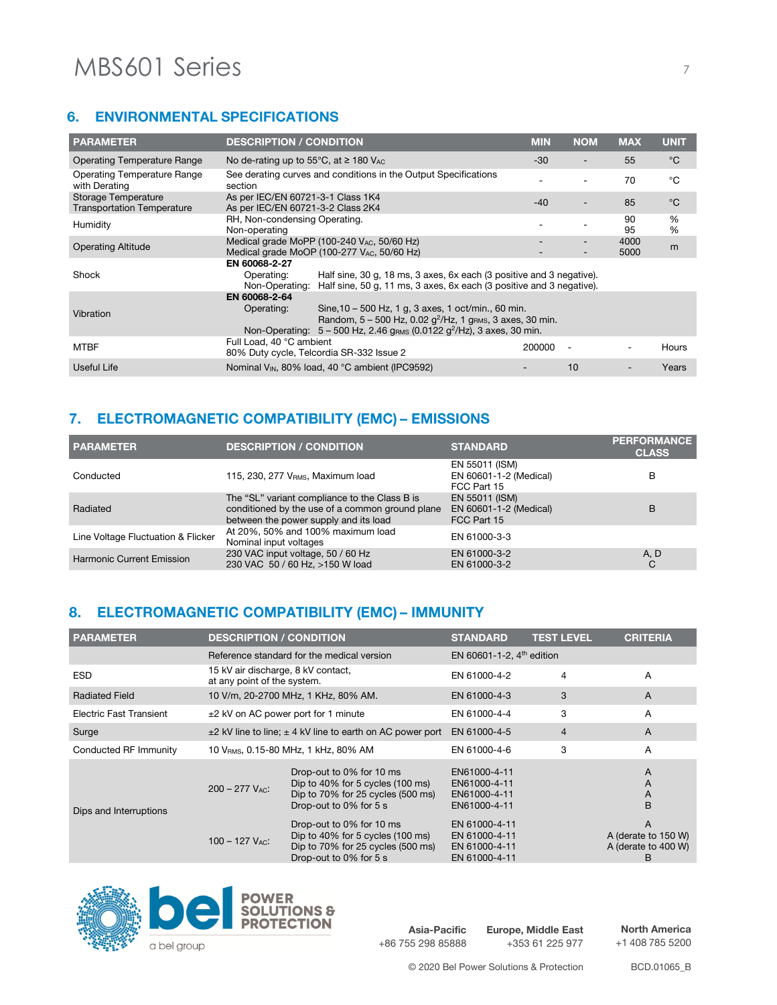# MBS601 Series 7

## **6. ENVIRONMENTAL SPECIFICATIONS**

| <b>PARAMETER</b>                                         | <b>DESCRIPTION / CONDITION</b>                                                                                                                                                                                                                                      | <b>MIN</b> | <b>NOM</b>               | <b>MAX</b>   | <b>UNIT</b> |
|----------------------------------------------------------|---------------------------------------------------------------------------------------------------------------------------------------------------------------------------------------------------------------------------------------------------------------------|------------|--------------------------|--------------|-------------|
| Operating Temperature Range                              | No de-rating up to 55 $\degree$ C, at $\geq$ 180 V <sub>AC</sub>                                                                                                                                                                                                    | $-30$      | $\overline{\phantom{0}}$ | 55           | °C          |
| Operating Temperature Range<br>with Derating             | See derating curves and conditions in the Output Specifications<br>section                                                                                                                                                                                          |            |                          | 70           | °C          |
| Storage Temperature<br><b>Transportation Temperature</b> | As per IEC/EN 60721-3-1 Class 1K4<br>As per IEC/EN 60721-3-2 Class 2K4                                                                                                                                                                                              | $-40$      |                          | 85           | °C          |
| Humidity                                                 | RH, Non-condensing Operating.<br>Non-operating                                                                                                                                                                                                                      |            |                          | 90<br>95     | %<br>%      |
| <b>Operating Altitude</b>                                | Medical grade MoPP (100-240 $V_{AC}$ , 50/60 Hz)<br>Medical grade MoOP (100-277 VAC, 50/60 Hz)                                                                                                                                                                      |            |                          | 4000<br>5000 | m           |
| Shock                                                    | EN 60068-2-27<br>Half sine, 30 g, 18 ms, 3 axes, 6x each (3 positive and 3 negative).<br>Operating:<br>Half sine, 50 g, 11 ms, 3 axes, 6x each (3 positive and 3 negative).<br>Non-Operating:                                                                       |            |                          |              |             |
| Vibration                                                | EN 60068-2-64<br>Sine, 10 - 500 Hz, 1 g, 3 axes, 1 oct/min., 60 min.<br>Operating:<br>Random, $5 - 500$ Hz, 0.02 $g^2$ /Hz, 1 g <sub>RMS</sub> , 3 axes, 30 min.<br>Non-Operating: $5 - 500$ Hz, 2.46 g <sub>RMS</sub> (0.0122 g <sup>2</sup> /Hz), 3 axes, 30 min. |            |                          |              |             |
| <b>MTBF</b>                                              | Full Load, 40 °C ambient<br>80% Duty cycle, Telcordia SR-332 Issue 2                                                                                                                                                                                                | 200000     | $\overline{\phantom{a}}$ |              | Hours       |
| Useful Life                                              | Nominal V <sub>IN</sub> , 80% load, 40 °C ambient (IPC9592)                                                                                                                                                                                                         |            | 10                       |              | Years       |

# 7. ELECTROMAGNETIC COMPATIBILITY (EMC) - EMISSIONS

| <b>PARAMETER</b>                   | <b>DESCRIPTION / CONDITION</b>                                                                                                            | <b>STANDARD</b>                                         | <b>PERFORMANCE</b><br><b>CLASS</b> |
|------------------------------------|-------------------------------------------------------------------------------------------------------------------------------------------|---------------------------------------------------------|------------------------------------|
| Conducted                          | 115, 230, 277 V <sub>RMS</sub> , Maximum load                                                                                             | EN 55011 (ISM)<br>EN 60601-1-2 (Medical)<br>FCC Part 15 | B                                  |
| Radiated                           | The "SL" variant compliance to the Class B is<br>conditioned by the use of a common ground plane<br>between the power supply and its load | EN 55011 (ISM)<br>EN 60601-1-2 (Medical)<br>FCC Part 15 | B                                  |
| Line Voltage Fluctuation & Flicker | At 20%, 50% and 100% maximum load<br>Nominal input voltages                                                                               | EN 61000-3-3                                            |                                    |
| Harmonic Current Emission          | 230 VAC input voltage, 50 / 60 Hz<br>230 VAC 50 / 60 Hz, >150 W load                                                                      | EN 61000-3-2<br>EN 61000-3-2                            | A, D<br>C                          |

# 8. ELECTROMAGNETIC COMPATIBILITY (EMC) - IMMUNITY

| <b>PARAMETER</b>        | <b>DESCRIPTION / CONDITION</b>                                     |                                                                                                                                                       | <b>STANDARD</b>                                                  | <b>TEST LEVEL</b> | <b>CRITERIA</b>                                      |
|-------------------------|--------------------------------------------------------------------|-------------------------------------------------------------------------------------------------------------------------------------------------------|------------------------------------------------------------------|-------------------|------------------------------------------------------|
|                         |                                                                    | Reference standard for the medical version                                                                                                            | EN 60601-1-2, $4th$ edition                                      |                   |                                                      |
| <b>ESD</b>              | 15 kV air discharge, 8 kV contact,<br>at any point of the system.  |                                                                                                                                                       | EN 61000-4-2                                                     | 4                 | A                                                    |
| <b>Radiated Field</b>   |                                                                    | 10 V/m, 20-2700 MHz, 1 KHz, 80% AM.                                                                                                                   | EN 61000-4-3                                                     | 3                 | $\overline{A}$                                       |
| Electric Fast Transient | $\pm$ 2 kV on AC power port for 1 minute                           |                                                                                                                                                       | EN 61000-4-4                                                     | 3                 | Α                                                    |
| Surge                   | $\pm$ 2 kV line to line; $\pm$ 4 kV line to earth on AC power port |                                                                                                                                                       | EN 61000-4-5                                                     | 4                 | A                                                    |
| Conducted RF Immunity   |                                                                    | 10 VRMS, 0.15-80 MHz, 1 kHz, 80% AM                                                                                                                   | EN 61000-4-6                                                     | 3                 | A                                                    |
| Dips and Interruptions  | $200 - 277$ V <sub>AC</sub> :                                      | Drop-out to 0% for 10 ms<br>Dip to $40\%$ for 5 cycles $(100 \text{ ms})$<br>Dip to $70\%$ for 25 cycles $(500 \text{ ms})$<br>Drop-out to 0% for 5 s | EN61000-4-11<br>EN61000-4-11<br>EN61000-4-11<br>EN61000-4-11     |                   | A<br>A<br>$\overline{A}$<br>B                        |
|                         | $100 - 127$ V <sub>AC</sub> :                                      | Drop-out to 0% for 10 ms<br>Dip to 40% for 5 cycles (100 ms)<br>Dip to 70% for 25 cycles (500 ms)<br>Drop-out to 0% for 5 s                           | EN 61000-4-11<br>EN 61000-4-11<br>EN 61000-4-11<br>EN 61000-4-11 |                   | A<br>A (derate to 150 W)<br>A (derate to 400 W)<br>B |



**Asia-Pacific** +86 755 298 85888 **Europe, Middle East** +353 61 225 977

**North America** +1 408 785 5200

© 2020 Bel Power Solutions & Protection BCD.01065\_B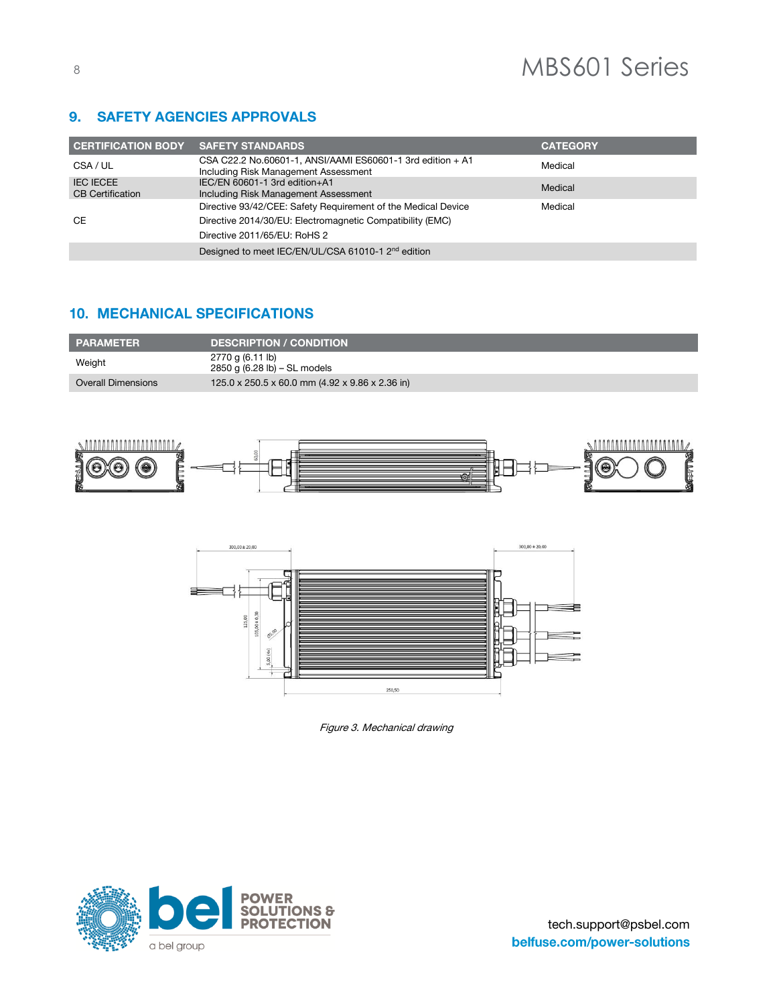#### **SAFETY AGENCIES APPROVALS**  $9.$

| <b>CERTIFICATION BODY SAFETY STANDARDS</b>  |                                                                                                    | <b>CATEGORY</b> |
|---------------------------------------------|----------------------------------------------------------------------------------------------------|-----------------|
| CSA / UL                                    | CSA C22.2 No.60601-1, ANSI/AAMI ES60601-1 3rd edition + A1<br>Including Risk Management Assessment | Medical         |
| <b>IEC IECEE</b><br><b>CB</b> Certification | IEC/EN 60601-1 3rd edition+A1<br>Including Risk Management Assessment                              | Medical         |
|                                             | Directive 93/42/CEE: Safety Requirement of the Medical Device                                      | Medical         |
| <b>CE</b>                                   | Directive 2014/30/EU: Electromagnetic Compatibility (EMC)                                          |                 |
|                                             | Directive 2011/65/EU: RoHS 2                                                                       |                 |
|                                             | Designed to meet IEC/EN/UL/CSA 61010-1 2 <sup>nd</sup> edition                                     |                 |

# **10. MECHANICAL SPECIFICATIONS**

| <b>PARAMETER</b>          | <b>DESCRIPTION / CONDITION</b>                   |
|---------------------------|--------------------------------------------------|
| Weight                    | 2770 g (6.11 lb)<br>2850 g (6.28 lb) – SL models |
| <b>Overall Dimensions</b> | 125.0 x 250.5 x 60.0 mm (4.92 x 9.86 x 2.36 in)  |





Figure 3. Mechanical drawing